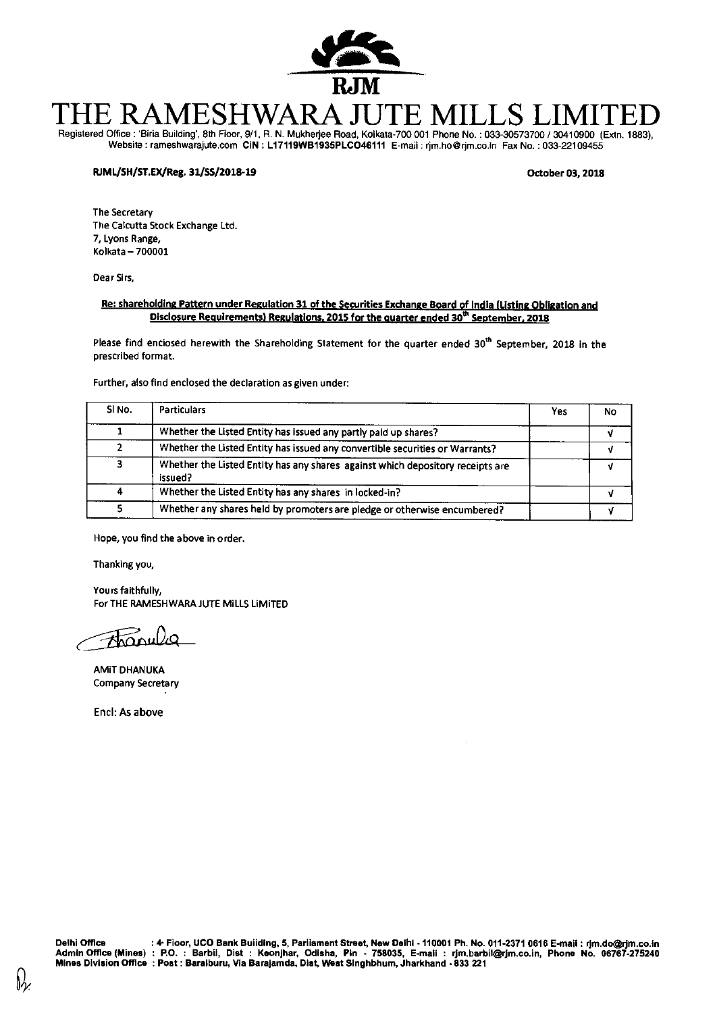

# THE RAMESHWARA JUTE MILLS LIMITED Registered Office : 'Birla Building', 8th Floor, 9/1, R. N. Mukherjee Road, Kolkata-700 001 Phone No. : 033-30573700 / 30410900 (Extn. 1883),

Website : rameshwarajute.com CIN : L17119WB1935PLC046111 E-mail : rjm.ho@rjm.co.in Fax No. : 033-22109455

#### **RJML/SH/ST.EX/Reg. 31/55/2018-39 October 03, 2018**

The Secretary The Calcutta Stock Exchange Ltd. 7, Lyons Range, Kolkata —700001

Dear Sirs,

#### **Re: shareholding Pattern under Regulation 31 of the Securities Exchange Board of India (Listing Obligation and Disclosure Reauirements) Regulations. 2015 for the quarter ended 30 th September, 2018**

Please find enclosed herewith the Shareholding Statement for the quarter ended 30<sup>th</sup> September, 2018 in the prescribed format.

Further, also find enclosed the declaration as given under:

| SI <sub>No.</sub> | <b>Particulars</b>                                                                        | Yes | No |
|-------------------|-------------------------------------------------------------------------------------------|-----|----|
|                   | Whether the Listed Entity has issued any partly paid up shares?                           |     |    |
|                   | Whether the Listed Entity has issued any convertible securities or Warrants?              |     |    |
|                   | Whether the Listed Entity has any shares against which depository receipts are<br>issued? |     |    |
|                   | Whether the Listed Entity has any shares in locked-in?                                    |     |    |
|                   | Whether any shares held by promoters are pledge or otherwise encumbered?                  |     |    |

Hope, you find the above in order.

Thanking you,

Yours faithfully, For THE RAMESHWARA JUTE MILLS LIMITED

Franula

AMIT DHANUKA Company Secretary

End: As above

Ӎ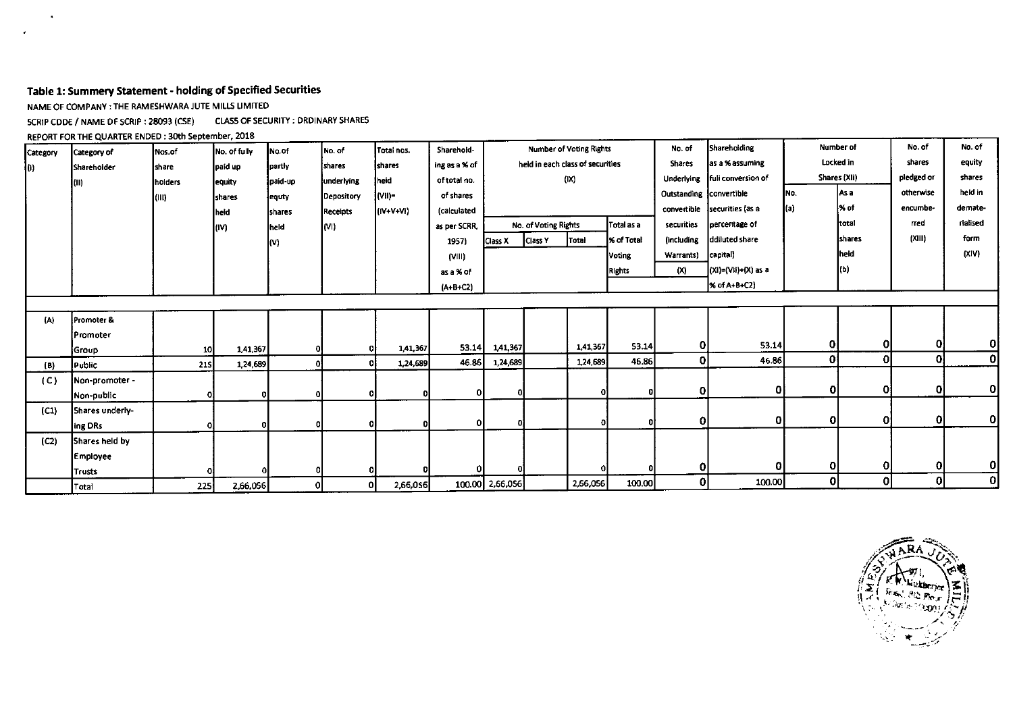### **Table 1: Summery Statement - holding of Specified Securities**

NAME OF COMPANY : THE RAMESHWARA JUTE MILLS LIMITED

SCRIP CODE / NAME OF SCRIP : 28093 (CSE) CLASS OF SECURITY : ORDINARY SHARES

REPORT FOR THE QUARTER ENDED : 30th September, 2018

| Category | Category of     | Nos.of        | No. of fully   | No.of   | No. of          | Total nos. | Sharehold-                 | <b>Number of Voting Rights</b> |                      |                                  |               | No. of                       | Shareholding        | <b>Number of</b> |                 | No. of     | No. of   |
|----------|-----------------|---------------|----------------|---------|-----------------|------------|----------------------------|--------------------------------|----------------------|----------------------------------|---------------|------------------------------|---------------------|------------------|-----------------|------------|----------|
| l(i).    | Shareholder     | <b>Ishare</b> | paid up        | partly  | shares          | shares     | ing as a % of              |                                |                      | held in each class of securities |               | Shares                       | as a % assuming     | Locked in        |                 | shares     | equity   |
|          | (II)            | holders       | equity         | paid-up | underlying      | heid       | of total no.               |                                |                      | (IX)                             |               | Underlying                   | fuli conversion of  |                  | Shares (XII)    | pledged or | shares   |
|          |                 | l(III)        | <b>Ishares</b> | equty   | Depository      | (VII)=     | of shares                  |                                |                      |                                  |               | Outstanding convertible      |                     | INo.             | As a            | otherwise  | held in  |
|          |                 |               | heid           | shares  | <b>Receipts</b> | liiv+v+vii | <i><b>(calculated)</b></i> |                                |                      |                                  |               | convertible                  | securities (as a    | l(a)             | l% of           | encumbe-   | demate-  |
|          |                 |               | (IV)           | held    | (M)             |            | as per SCRR,               |                                | No. of Voting Rights |                                  | Total as a    | securities                   | percentage of       |                  | total           | rred       | rial sed |
|          |                 |               |                | (V)     |                 |            | 1957)                      | Class X                        | Class <sub>Y</sub>   | <b>Total</b>                     | % of Total    | ddiluted share<br>(including |                     |                  | <b>I</b> shares | (XIII)     | form     |
|          |                 |               |                |         |                 |            | (VIII)                     |                                |                      |                                  | Voting        | capital)<br>Warrants)        |                     |                  | heid            |            | (X V)    |
|          |                 |               |                |         |                 |            | as a % of                  |                                |                      |                                  | <b>Rights</b> | (X)                          | (XI)=(VII)+(X) as a |                  | l(b)            |            |          |
|          |                 |               |                |         |                 |            | $(A + B + C2)$             |                                |                      |                                  |               |                              | % of A+B+C2)        |                  |                 |            |          |
|          |                 |               |                |         |                 |            |                            |                                |                      |                                  |               |                              |                     |                  |                 |            |          |
| (A)      | Promoter &      |               |                |         |                 |            |                            |                                |                      |                                  |               |                              |                     |                  |                 |            |          |
|          | Promoter        |               |                |         |                 |            |                            |                                |                      |                                  |               |                              |                     |                  |                 |            |          |
|          | Group           | <b>10</b>     | 1,41,367       |         |                 | 1,41,367   | 53.14                      | 1,41,367                       |                      | 1,41,367                         | 53.14         | Οl                           | 53.14               | ΟI               | Οl              | 0          | Οl       |
| (B)      | Public          | <b>215</b>    | 1,24,689       | -01     |                 | 1,24,689   | 46.86I                     | 1,24,689                       |                      | 1,24,689                         | 46.86         | $\mathbf{0}$                 | 46.86               | Οļ               | Οl              | 0          | 0        |
| (C)      | Non-promoter -  |               |                |         |                 |            |                            |                                |                      |                                  |               |                              |                     |                  |                 |            |          |
|          | Non-public      |               | οI             | -O.     |                 |            |                            | 01                             |                      |                                  | $\mathbf 0$   | $\mathbf{0}$                 | Οl                  | 0l               | Οl              | Οl         | Οl       |
| (C1)     | Shares underly- |               |                |         |                 |            |                            |                                |                      |                                  |               |                              |                     |                  |                 |            |          |
|          | ing DRs         |               |                |         |                 |            | o                          | -O.                            |                      |                                  | n             | $\mathbf{O}$                 | Οl                  | 0l               | οl              | 0          | 0        |
| (C2)     | Shares held by  |               |                |         |                 |            |                            |                                |                      |                                  |               |                              |                     |                  |                 |            |          |
|          | <b>Employee</b> |               |                |         |                 |            |                            |                                |                      |                                  |               |                              |                     |                  |                 |            |          |
|          | <b>Trusts</b>   |               |                | O       |                 |            |                            |                                |                      |                                  |               | $\mathbf{O}$                 | O.                  | 0                | Οl              | -OI        | ΟI       |
|          | Total           | 225           | 2,66,056       | οI      | ΟI              | 2,66,0s6   |                            | 100.00 2,66,056                |                      | 2,66,056                         | 100.00        | 0                            | 100.00              | οI               | οl              | 0l         | 0        |

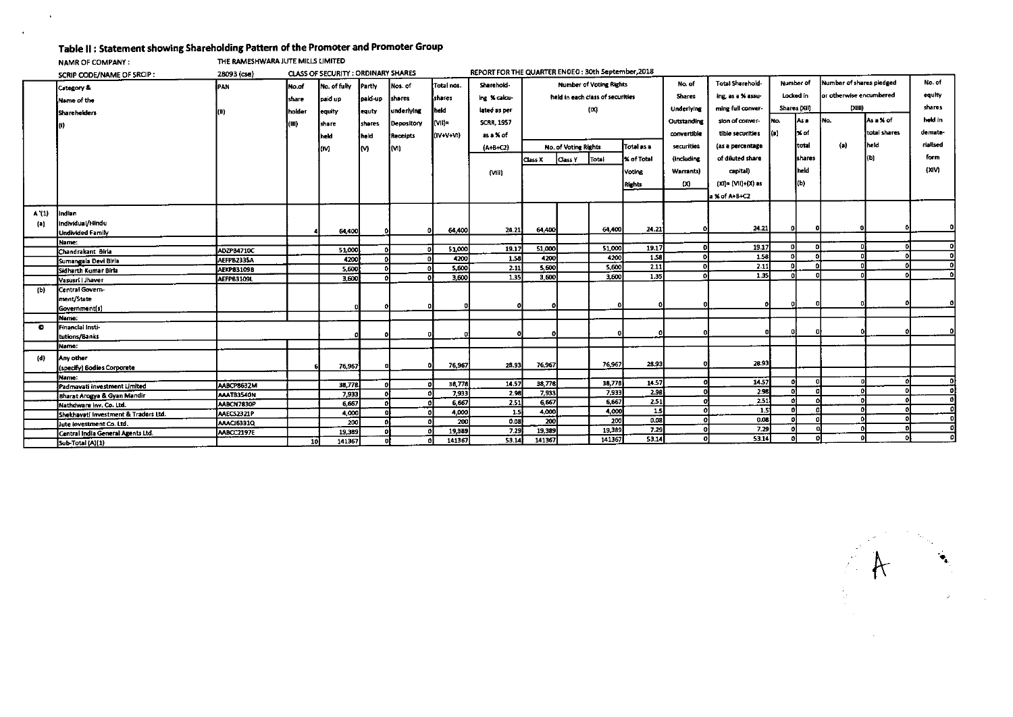#### **Table II : Statement showing Shareholding Pattern of the Promoter and Promoter Group**

 $\Delta \sim$ 

 $\mathcal{A}$ 

|           | <b>NAMR OF COMPANY:</b>                     | THE RAMESHWARA JUTE MILLS LIMITED |                 |                                     |               |            |                |                                                    |                  |                      |                                  |                   |               |                         |              |           |                          |              |          |    |
|-----------|---------------------------------------------|-----------------------------------|-----------------|-------------------------------------|---------------|------------|----------------|----------------------------------------------------|------------------|----------------------|----------------------------------|-------------------|---------------|-------------------------|--------------|-----------|--------------------------|--------------|----------|----|
|           | SCRIP CODE/NAME OF SRCIP:                   | 28093 (cse)                       |                 | CLASS OF SECURITY : ORDINARY SHARES |               |            |                | REPORT FOR THE QUARTER ENGED: 30th September, 2018 |                  |                      |                                  |                   |               |                         |              |           |                          |              |          |    |
|           | <b>Category &amp;</b>                       | IPAN                              | No.of           | No. of fully                        | <b>Partly</b> | Nos. of    | Total nos.     | Sharehold-                                         |                  |                      | <b>Number of Voting Rights</b>   |                   | No. of        | <b>Total Sharehold-</b> | Number of    |           | Number of shares pledged |              | No. of   |    |
|           | Name of the                                 |                                   | Ishare          | loaid up                            | Jpaki up      | shares     | shares         | ing %calcu-                                        |                  |                      | held in each class of securities |                   | <b>Shares</b> | ing, as a % assu-       |              | Locked in | lor otherwise encumbered |              | equity   |    |
|           |                                             |                                   |                 |                                     |               | underlying | held           | lated as per                                       |                  |                      | (IX)                             |                   | Underlying    | ming full conver-       | Shares (Xii) |           | (XIII)                   |              | shares   |    |
|           | <b>Sharehelders</b>                         |                                   | Inolder         | equity                              | equty         |            |                |                                                    |                  |                      |                                  |                   |               |                         | INo.         | las a     | INo.                     | As a % of    | hold in  |    |
|           |                                             |                                   | (M)             | share                               | shares        | Depository | l(VII)=        | <b>SCRR, 1957</b>                                  |                  |                      |                                  |                   | Outstanding   | sion of conver-         |              |           |                          |              |          |    |
|           |                                             |                                   |                 | held                                | İheld         | Receipts   | (IV+V+VI)      | as a % of                                          |                  |                      |                                  |                   | convertible   | tible securities        | ka).         | 1x of     |                          | total shares | demate-  |    |
|           |                                             |                                   |                 | (M                                  | m             | iM)        |                | $(A - B + C2)$                                     |                  | No. of Voting Rights |                                  | Total as a        | securities    | las a percentage        |              | itotal    | $\left( x\right)$        | held         | rialised |    |
|           |                                             |                                   |                 |                                     |               |            |                |                                                    | Class X          | Class Y              | Total                            | <b>X</b> of Total | lincluding    | of diluted share        |              | shares    |                          | (b)          | form     |    |
|           |                                             |                                   |                 |                                     |               |            |                |                                                    |                  |                      |                                  | Voting            | Warrants)     | capitali                |              | held      |                          |              | (XIV)    |    |
|           |                                             |                                   |                 |                                     |               |            |                | (VIII)                                             |                  |                      |                                  |                   |               |                         |              |           |                          |              |          |    |
|           |                                             |                                   |                 |                                     |               |            |                |                                                    |                  |                      |                                  | <b>Rights</b>     | (X)           | $(XI) = (VII) + (X)$ as |              | l(b).     |                          |              |          |    |
|           |                                             |                                   |                 |                                     |               |            |                |                                                    |                  |                      |                                  |                   |               | a % of A+B+C2           |              |           |                          |              |          |    |
|           |                                             |                                   |                 |                                     |               |            |                |                                                    |                  |                      |                                  |                   |               |                         |              |           |                          |              |          |    |
| A '(1)    | indian                                      |                                   |                 |                                     |               |            |                |                                                    |                  |                      |                                  |                   |               |                         |              |           |                          |              |          |    |
| (a)       | individual/Hindu<br><b>Undivided Family</b> |                                   |                 | 64,400                              |               | n          | 64,400         | 24.21                                              | 64.400           |                      | 64,400                           | 24.21             |               | 24.21                   | οl           | n.        | n                        |              |          |    |
|           | Name:                                       |                                   |                 |                                     |               |            |                |                                                    |                  |                      |                                  |                   |               |                         |              |           |                          |              |          |    |
|           | Chandrakant Birla                           | ADZPB4710C                        |                 | 51,000                              |               | n.         | 51,000         | 19.17                                              | 51,000           |                      | 51,000                           | 19.17             | οI            | 19.17                   | $\mathbf{r}$ |           |                          |              |          | ΩI |
|           | Sumangala Devi Biria                        | AEFPB2335A                        |                 | 4200                                |               |            | 4200           | 1.58                                               | 4200             |                      | 4200                             | 1.58              |               | 1.58                    | n            |           |                          |              |          | ٥l |
|           | Sidharth Kumar Birla                        | <b>AEKPB3109B</b>                 |                 | 5.600                               |               |            | 5,600          | 2 11                                               | 5,600            |                      | 5.600                            | 2.11              |               | 2.11                    |              |           |                          |              |          | ٥l |
|           | Vasusri   Jhaver                            | AEFPB3109L                        |                 | 3,600                               |               |            | 3,600          | 1.35                                               | 3,600            |                      | 3,600                            | 1.35              |               | 1.35                    |              |           |                          |              |          | οl |
| (b)       | <b>Central Govern-</b>                      |                                   |                 |                                     |               |            |                |                                                    |                  |                      |                                  |                   |               |                         |              |           |                          |              |          |    |
|           | ment/State                                  |                                   |                 |                                     |               |            |                |                                                    |                  |                      |                                  |                   |               |                         |              |           |                          |              |          |    |
|           | Government(s)                               |                                   |                 |                                     |               |            |                | ٥                                                  | ο                |                      |                                  |                   |               |                         |              |           |                          |              |          |    |
|           | Name:                                       |                                   |                 |                                     |               |            |                |                                                    |                  |                      |                                  |                   |               |                         |              |           |                          |              |          |    |
| $\bullet$ | Financial Insti-                            |                                   |                 |                                     |               |            |                |                                                    |                  |                      |                                  |                   |               |                         |              |           |                          |              |          | o  |
|           | tutions/Banks                               |                                   |                 |                                     |               |            |                |                                                    |                  |                      |                                  |                   |               |                         |              |           |                          |              |          |    |
|           | Name:                                       |                                   |                 |                                     |               |            |                |                                                    |                  |                      |                                  |                   |               |                         |              |           |                          |              |          |    |
| (d)       | Any other                                   |                                   |                 |                                     |               |            |                |                                                    |                  |                      |                                  |                   |               |                         |              |           |                          |              |          |    |
|           | (specify) Bodies Corporete                  |                                   |                 | 76,967                              |               | O.         | 76,967         | 28.93                                              | 76,967           |                      | 76,967                           | 28.93             |               | 28.93                   |              |           |                          |              |          |    |
|           | Name:                                       |                                   |                 |                                     |               |            |                |                                                    |                  |                      | 38,778                           | 14.57             |               | 14.57                   |              |           |                          |              |          | ΩI |
|           | Padmavati investment Limited                | AABCP8632M                        |                 | 38,778                              |               |            | 38,778         | 14.57<br>2.98                                      | 38,778<br>7,933  |                      | 7,933                            | 2.98              |               | 2.98                    |              |           |                          |              |          |    |
|           | <b>Sharat Arogya &amp; Gyan Mandir</b>      | <b>AAATB3540N</b>                 |                 | 7,933                               |               | O.         | 7,933<br>6,667 | 2.51                                               | 6,667            |                      | 6,667                            | 2.51              |               | 2.51                    |              |           |                          |              |          | Ω  |
|           | Nathdware Inv. Co. Ltd.                     | AABCN7830P                        |                 | 6,667<br>4,000                      |               | n.         | 4,000          | 1.5                                                | 4,000            |                      | 4.000                            | 1.5               |               | -1.5                    |              |           |                          |              |          |    |
|           | Shekhavati Investment & Traders Ltd.        | AAECS2321P                        |                 | 200                                 |               |            | 200            | 0.08                                               | $\overline{200}$ |                      | 200                              | 0.08              |               | 0.08                    |              |           |                          |              |          |    |
|           | Jute investment Co. Ltd.                    | <b>AAACI6331Q</b>                 |                 | 19,389                              |               |            | 19,389         | 7.29                                               | 19,389           |                      | 19,389                           | 7.29              | -0            | 7.29                    |              |           | o                        |              |          |    |
|           | Central India General Agents Ltd.           | <b>AABCC2197E</b>                 | 10 <sup>1</sup> | 141367                              |               | ۵I         | 141367         | 53.14                                              | 141367           |                      | 141367                           | 53.14             | o             | 53.14                   |              |           |                          |              |          |    |
|           | Sub-Total (A)(1)                            |                                   |                 |                                     |               |            |                |                                                    |                  |                      |                                  |                   |               |                         |              |           |                          |              |          |    |

 $\begin{picture}(20,20) \put(0,0){\vector(1,0){10}} \put(15,0){\vector(1,0){10}} \put(15,0){\vector(1,0){10}} \put(15,0){\vector(1,0){10}} \put(15,0){\vector(1,0){10}} \put(15,0){\vector(1,0){10}} \put(15,0){\vector(1,0){10}} \put(15,0){\vector(1,0){10}} \put(15,0){\vector(1,0){10}} \put(15,0){\vector(1,0){10}} \put(15,0){\vector(1,0){10}} \put(15,0){\vector(1$ 

 $\sim$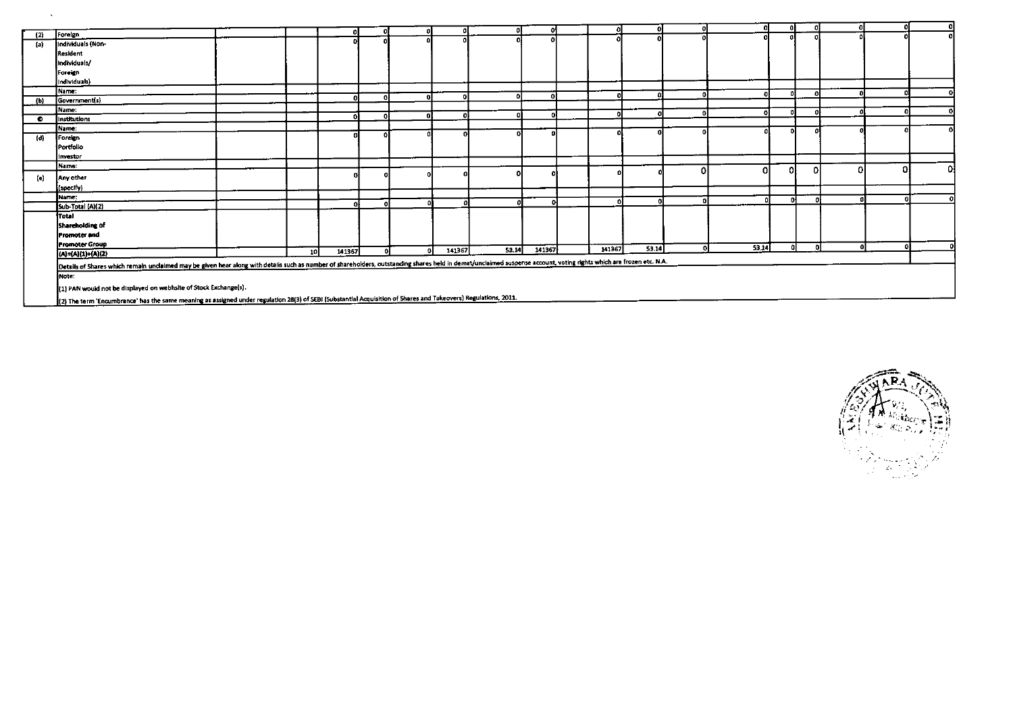|           |                                                                                                                                                                                                                     |                 |        |   |     |        |       |        |              |       |   |       |    | n. |   |    |
|-----------|---------------------------------------------------------------------------------------------------------------------------------------------------------------------------------------------------------------------|-----------------|--------|---|-----|--------|-------|--------|--------------|-------|---|-------|----|----|---|----|
| (2)       | Foreign                                                                                                                                                                                                             |                 |        |   |     |        |       |        |              |       |   |       |    |    |   |    |
| (a)       | Individuals (Non-                                                                                                                                                                                                   |                 |        |   |     |        |       |        |              |       |   |       |    |    |   |    |
|           | Resident                                                                                                                                                                                                            |                 |        |   |     |        |       |        |              |       |   |       |    |    |   |    |
|           | Individuals/                                                                                                                                                                                                        |                 |        |   |     |        |       |        |              |       |   |       |    |    |   |    |
|           | Foreign                                                                                                                                                                                                             |                 |        |   |     |        |       |        |              |       |   |       |    |    |   |    |
|           | Individuals)                                                                                                                                                                                                        |                 |        |   |     |        |       |        |              |       |   |       |    |    |   |    |
|           | Name:                                                                                                                                                                                                               |                 |        |   |     |        |       |        |              |       |   |       |    |    |   |    |
| (b)       | Government(s)                                                                                                                                                                                                       |                 |        |   |     |        |       |        |              |       |   |       |    |    |   |    |
|           | Name:                                                                                                                                                                                                               |                 |        |   |     |        |       | -01    | $\mathbf{a}$ |       |   |       |    |    |   |    |
| $\bullet$ | Institutions                                                                                                                                                                                                        |                 |        |   |     |        |       |        |              |       |   |       |    |    |   |    |
|           | Name:                                                                                                                                                                                                               |                 |        |   |     |        |       |        |              |       |   |       | n. |    |   |    |
| (d)       | Foreign                                                                                                                                                                                                             |                 |        |   |     |        |       |        |              |       |   |       |    |    |   |    |
|           | Portfolio                                                                                                                                                                                                           |                 |        |   |     |        |       |        |              |       |   |       |    |    |   |    |
|           | Investor                                                                                                                                                                                                            |                 |        |   |     |        |       |        |              |       |   |       |    |    |   |    |
|           | Name:                                                                                                                                                                                                               |                 |        |   |     |        |       |        |              |       | Ω | Ω     | ΩI |    | Ω | ٥l |
| (e)       | Any other                                                                                                                                                                                                           |                 |        |   |     |        |       |        |              |       |   |       |    |    |   |    |
|           | (specify)                                                                                                                                                                                                           |                 |        |   |     |        |       |        |              |       |   |       |    |    |   |    |
|           | Name:                                                                                                                                                                                                               |                 |        |   |     |        |       |        |              |       |   |       | m  |    |   |    |
|           | Sub-Total (A)(2)                                                                                                                                                                                                    |                 |        | n | Λl  |        |       |        |              |       |   |       |    |    |   |    |
|           | Total                                                                                                                                                                                                               |                 |        |   |     |        |       |        |              |       |   |       |    |    |   |    |
|           | Shareholding of                                                                                                                                                                                                     |                 |        |   |     |        |       |        |              |       |   |       |    |    |   |    |
|           | <b>Promoter and</b>                                                                                                                                                                                                 |                 |        |   |     |        |       |        |              |       |   |       |    |    |   |    |
|           | <b>Promoter Group</b>                                                                                                                                                                                               |                 |        |   |     |        |       |        |              |       |   |       |    |    |   |    |
|           | (A)=(A)(1)+(A)(2)                                                                                                                                                                                                   | 10 <sup>1</sup> | 141367 |   | -ni | 141367 | 53.14 | 141367 | 141367       | 53.14 |   | 53.14 |    |    |   |    |
|           | Details of Shares which remain unclaimed may be given hear along with details such as number of shareholders, outstanding shares held in demat/unclaimed suspense account, voting rights which are frozen etc. N.A. |                 |        |   |     |        |       |        |              |       |   |       |    |    |   |    |
|           | Mote:                                                                                                                                                                                                               |                 |        |   |     |        |       |        |              |       |   |       |    |    |   |    |
|           |                                                                                                                                                                                                                     |                 |        |   |     |        |       |        |              |       |   |       |    |    |   |    |
|           | (1) PAN would not be displayed on webhsite of Stock Exchange(s).                                                                                                                                                    |                 |        |   |     |        |       |        |              |       |   |       |    |    |   |    |
|           | [2] The term 'Encumbrance' has the same meaning as assigned under regulation 28(3) of SEBI (Substantial Acquisition of Shares and Takeovers) Regulations, 2011.                                                     |                 |        |   |     |        |       |        |              |       |   |       |    |    |   |    |

 $\mathbf{A}$ 

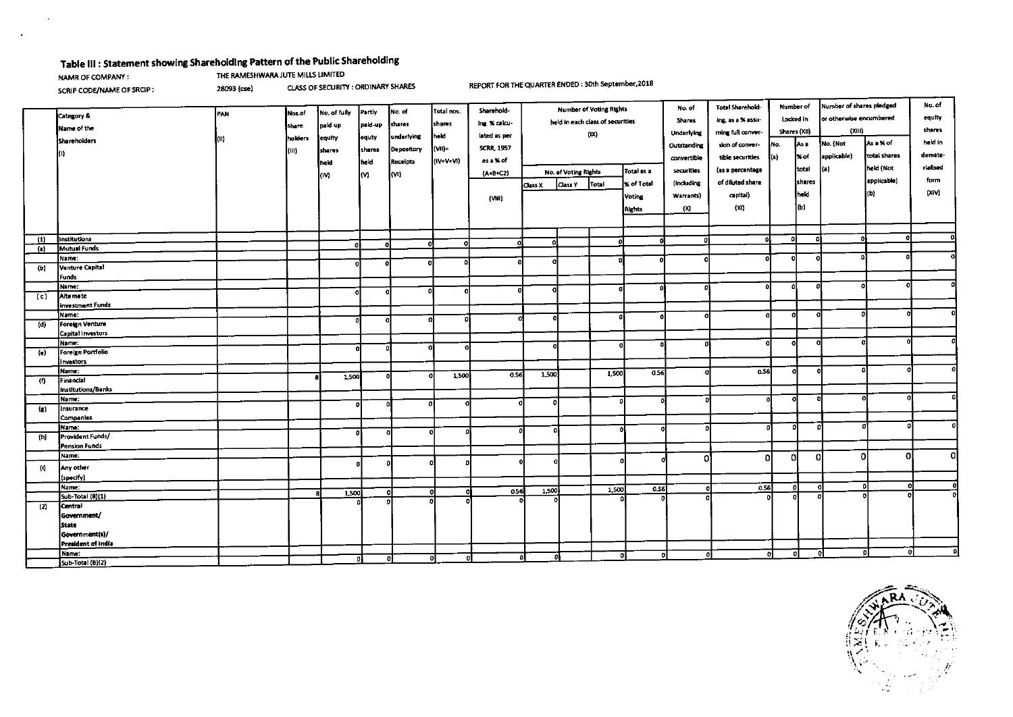## **Table III : Statement showing Shareholding Pattern of the Public Shareholding**

 $\Delta$ 

NAMR OF COMPANY:<br>
NAMR OF COMPANY:<br>
SCRIP CODE/NAME OF SRCIP: 28093 (cse) CLASS OF SECURITY : ORDINARY SHARES

SCRIP CODE/NAME OF SRCIP : 28093 (cse) CLASS OF SECURITY : ORDINARY SHARES REPORT FOR THE QUARTER ENDED : 30th September,2018

|                               |                               |     |         |              |          |               |            | Sharehold-        | <b>Number of Voting Rights</b>     |         | No. of | Number of<br><b>Total Sharehold-</b> |                  |                   | Number of shares pledged |                      | No. of      |              |         |
|-------------------------------|-------------------------------|-----|---------|--------------|----------|---------------|------------|-------------------|------------------------------------|---------|--------|--------------------------------------|------------------|-------------------|--------------------------|----------------------|-------------|--------------|---------|
|                               | Category &                    | PAN | Nos.of  | No. of fully | Partly   | Ino. of       | Total nos. |                   | held in each class of securities   |         | Shares | Locked in<br>ing, as a % assu-       |                  |                   | or otherwise encumbered  | equity               |             |              |         |
|                               | Mame of the                   |     | share   | pak up       | paid-up  | <b>Shares</b> | shares     | ing % calcu-      |                                    |         |        |                                      |                  |                   |                          |                      | (XIII)      |              | shares  |
|                               | <b>Shareholders</b>           | (0) | holders | equity       | equty    | underlying    | held       | lated as per      |                                    |         | (IX)   |                                      | Underlying       | ming full conver- | Shares (XII)             |                      |             |              |         |
|                               |                               |     | (III)   | shares       | shares   | Depository    | (VII)=     | <b>SCRR, 1957</b> |                                    |         |        |                                      | Outstanding      | sion of conver-   | No.                      | As a                 | No. (Not    | As a % of    | held in |
|                               | O.                            |     |         |              | lheid    | Receipts      | (IV+V+VI)  | as a % of         |                                    |         |        |                                      | convertible      | tible securities  | (a)                      | $\mathbf{\times}$ of | applicable) | total shares | demate- |
|                               |                               |     |         | heid         |          |               |            |                   | Total as a<br>No. af Voting Rights |         |        | securities                           | (as a percentage |                   | total                    | (a)                  | held (Not   | rialised     |         |
|                               |                               |     |         | (M           | lM.      | l(M)          |            | $(A - B + C2)$    |                                    |         |        |                                      |                  | of diluted share  |                          | shares               |             | applicable)  | form    |
|                               |                               |     |         |              |          |               |            |                   | Class X                            | Class Y | Total  | lx of Total                          | (Including       |                   |                          |                      |             |              | (XIV)   |
|                               |                               |     |         |              |          |               |            | (Mii)             |                                    |         |        | Voting                               | Warrants)        | capital)          |                          | held                 |             | (b)          |         |
|                               |                               |     |         |              |          |               |            |                   |                                    |         |        | <b>Rights</b>                        | (X)              | (XI)              |                          | lor                  |             |              |         |
|                               |                               |     |         |              |          |               |            |                   |                                    |         |        |                                      |                  |                   |                          |                      |             |              |         |
|                               |                               |     |         |              |          |               |            |                   |                                    |         |        |                                      |                  |                   |                          |                      |             |              |         |
| $^{\prime}$                   | Institutions                  |     |         |              |          | o             |            | 0.                | ۵l                                 |         | n      |                                      | o                |                   | n                        |                      | -O.         |              |         |
| (a)                           | Mutual Funds                  |     |         | o            | $\Omega$ |               |            |                   |                                    |         |        |                                      |                  |                   |                          |                      |             |              |         |
|                               | Name:                         |     |         |              |          | o             |            |                   |                                    |         |        |                                      |                  | o۱                | Ω                        |                      |             |              |         |
| (b)                           | Venture Capital               |     |         |              |          |               |            |                   |                                    |         |        |                                      |                  |                   |                          |                      |             |              |         |
|                               | Funds                         |     |         |              |          |               |            |                   |                                    |         |        |                                      |                  |                   |                          |                      |             |              |         |
|                               | Name:                         |     |         |              | o        |               | o          | ŋ                 |                                    |         | n,     |                                      |                  | ۵l                | O                        |                      |             |              |         |
| (c)                           | Alte mate<br>investment Funds |     |         |              |          |               |            |                   |                                    |         |        |                                      |                  |                   |                          |                      |             |              |         |
|                               | Name:                         |     |         |              |          |               |            |                   |                                    |         |        |                                      |                  | ol                | o                        |                      |             |              |         |
| (d)                           | Foreign Venture               |     |         |              | o        |               |            |                   | O                                  |         |        |                                      |                  |                   |                          |                      |             |              |         |
|                               | Capital Investors             |     |         |              |          |               |            |                   |                                    |         |        |                                      |                  |                   |                          |                      |             |              |         |
|                               | Name:                         |     |         |              |          |               |            |                   | O                                  |         |        |                                      | n                | ol                | n                        |                      |             |              |         |
| (e)                           | Foreign Portfolio             |     |         |              |          |               |            |                   |                                    |         |        |                                      |                  |                   |                          |                      |             |              |         |
|                               | Investors                     |     |         |              |          |               |            |                   |                                    |         |        |                                      |                  |                   |                          |                      |             |              |         |
|                               | Name:                         |     |         | 1,500        |          | $\Omega$      | 1,500      | 0.56              | 1,500                              |         | 1,500  | 0.56                                 |                  | 0.56              | οl                       | O                    |             | n.           |         |
| (f)                           | Financial                     |     |         |              |          |               |            |                   |                                    |         |        |                                      |                  |                   |                          |                      |             |              |         |
|                               | Institutions/Banks            |     |         |              |          |               |            |                   |                                    |         |        |                                      |                  |                   |                          |                      |             |              |         |
|                               | Name:                         |     |         |              |          | Ω             |            | o                 | O                                  |         | - 01   |                                      | $\Omega$         | Ω                 | o                        | O                    |             |              |         |
| $\left( \mathbf{g} \right)$   | Insurance<br>Companies        |     |         |              |          |               |            |                   |                                    |         |        |                                      |                  |                   |                          |                      |             |              |         |
|                               | Name:                         |     |         |              |          |               |            |                   |                                    |         |        |                                      |                  | Ω                 | o                        | $\Omega$             |             |              | ۵I      |
| (n)                           | Provident Funds/              |     |         |              | ۵۱       |               |            |                   | $\Omega$                           |         |        |                                      | $\Omega$         |                   |                          |                      |             |              |         |
|                               | Pension Funds                 |     |         |              |          |               |            |                   |                                    |         |        |                                      |                  |                   |                          |                      |             |              |         |
|                               | Mame:                         |     |         |              |          |               |            |                   |                                    |         |        |                                      | 01               | .nl               | ol                       | οI                   | 0           | O            | -O.     |
| $\left\langle 0\right\rangle$ | Any other                     |     |         |              | ۵        |               |            |                   |                                    |         | Ω      |                                      |                  |                   |                          |                      |             |              |         |
|                               | (specify)                     |     |         |              |          |               |            |                   |                                    |         |        |                                      |                  |                   |                          |                      |             |              |         |
|                               | Name:                         |     |         |              |          |               |            |                   |                                    |         | 1,500  | 0.56                                 |                  | 0.56              | 0                        | οI                   |             | Ωł           | o       |
|                               | Sub-Total (8)(1)              |     |         | 1,500        | οl       |               | o<br>o     | 0.56              | 1,500                              |         |        |                                      |                  |                   | n1                       |                      |             |              | ol      |
| (2)                           | Central                       |     |         |              |          |               |            |                   |                                    |         |        |                                      |                  |                   |                          |                      |             |              |         |
|                               | Government/                   |     |         |              |          |               |            |                   |                                    |         |        |                                      |                  |                   |                          |                      |             |              |         |
|                               | <b>State</b>                  |     |         |              |          |               |            |                   |                                    |         |        |                                      |                  |                   |                          |                      |             |              |         |
|                               | Government(s)/                |     |         |              |          |               |            |                   |                                    |         |        |                                      |                  |                   |                          |                      |             |              |         |
|                               | President of india            |     |         |              |          |               |            |                   |                                    |         |        |                                      |                  |                   |                          |                      |             |              |         |
|                               | Name:                         |     |         |              |          | οI            | οl<br>n    |                   | nl                                 |         | n      |                                      | n                |                   | $\mathbf{r}$             | o                    |             | n.           | οI      |
|                               | Sub-Total (B)(2)              |     |         |              |          |               |            |                   |                                    |         |        |                                      |                  |                   |                          |                      |             |              |         |

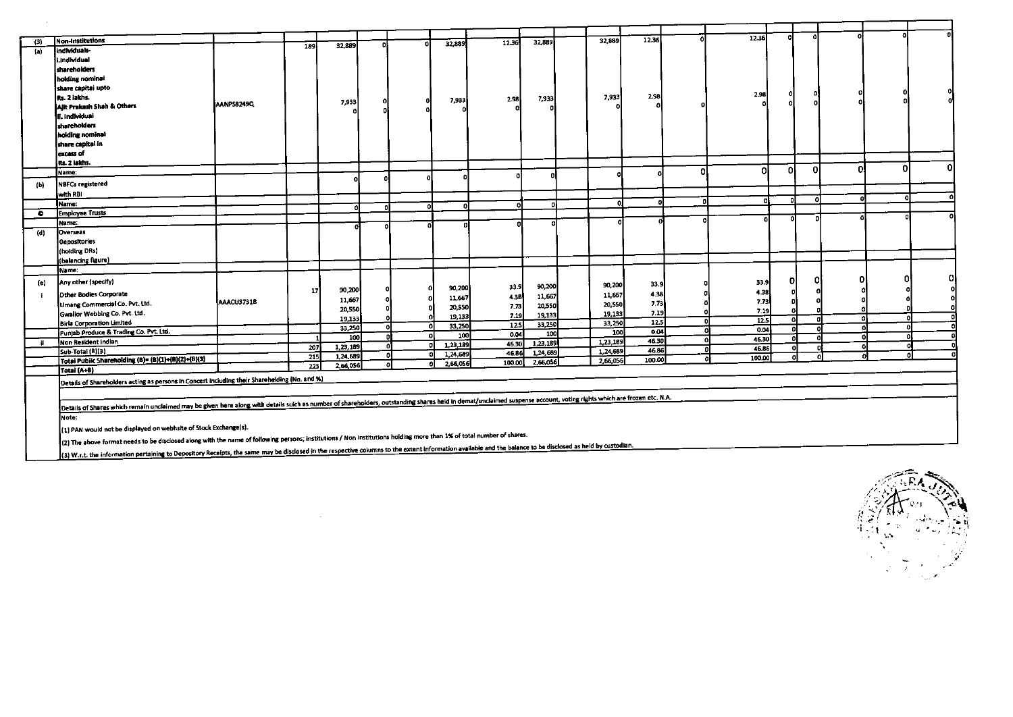|             | <b>Non-Institutions</b>                                                                                                                                                                                                                                                                                                                                                             |            |                  |               |   |    |          |        |                       | 32,889   | 12.36  |          | 12.36       |     |          |   |   |          |
|-------------|-------------------------------------------------------------------------------------------------------------------------------------------------------------------------------------------------------------------------------------------------------------------------------------------------------------------------------------------------------------------------------------|------------|------------------|---------------|---|----|----------|--------|-----------------------|----------|--------|----------|-------------|-----|----------|---|---|----------|
| (3)         | individuals-                                                                                                                                                                                                                                                                                                                                                                        |            | 189              | 32,889        |   |    | 32,889   | 12.36  | 32,889                |          |        |          |             |     |          |   |   |          |
| (a)         | i.individual                                                                                                                                                                                                                                                                                                                                                                        |            |                  |               |   |    |          |        |                       |          |        |          |             |     |          |   |   |          |
|             |                                                                                                                                                                                                                                                                                                                                                                                     |            |                  |               |   |    |          |        |                       |          |        |          |             |     |          |   |   |          |
|             | shareholders                                                                                                                                                                                                                                                                                                                                                                        |            |                  |               |   |    |          |        |                       |          |        |          |             |     |          |   |   |          |
|             | holding nominal                                                                                                                                                                                                                                                                                                                                                                     |            |                  |               |   |    |          |        |                       |          |        |          |             |     |          |   |   |          |
|             | share capitai upto                                                                                                                                                                                                                                                                                                                                                                  |            |                  |               |   |    |          |        |                       |          |        |          | 2.98        |     |          |   |   |          |
|             | Rs. 2 iakhs.                                                                                                                                                                                                                                                                                                                                                                        | AANPS8249Q |                  | 7,933         |   |    | 7,933    | 2.38   | 7,933                 | 7,933    | 2.98   |          |             |     |          |   |   |          |
|             | Ajit Prakash Shah & Others                                                                                                                                                                                                                                                                                                                                                          |            |                  |               |   |    |          |        |                       |          |        |          |             |     |          |   |   |          |
|             | II. Individual                                                                                                                                                                                                                                                                                                                                                                      |            |                  |               |   |    |          |        |                       |          |        |          |             |     |          |   |   |          |
|             | shareholders                                                                                                                                                                                                                                                                                                                                                                        |            |                  |               |   |    |          |        |                       |          |        |          |             |     |          |   |   |          |
|             | holding nominal                                                                                                                                                                                                                                                                                                                                                                     |            |                  |               |   |    |          |        |                       |          |        |          |             |     |          |   |   |          |
|             | share capitai in                                                                                                                                                                                                                                                                                                                                                                    |            |                  |               |   |    |          |        |                       |          |        |          |             |     |          |   |   |          |
|             | excess of                                                                                                                                                                                                                                                                                                                                                                           |            |                  |               |   |    |          |        |                       |          |        |          |             |     |          |   |   |          |
|             | Rs. 2 lakhs.                                                                                                                                                                                                                                                                                                                                                                        |            |                  |               |   |    |          |        |                       |          |        |          |             |     |          |   | o | $\Omega$ |
|             | Name:                                                                                                                                                                                                                                                                                                                                                                               |            |                  |               |   |    |          |        |                       |          |        | n        | ി           | οI  | $\Omega$ | n |   |          |
| (b)         | <b>NBFCs registered</b>                                                                                                                                                                                                                                                                                                                                                             |            |                  | Ω             |   |    |          |        |                       |          |        |          |             |     |          |   |   |          |
|             | with RBI                                                                                                                                                                                                                                                                                                                                                                            |            |                  |               |   |    |          |        |                       |          |        |          |             |     |          |   |   |          |
|             | Name:                                                                                                                                                                                                                                                                                                                                                                               |            |                  |               |   | ΩL | ۵        | Ω      | n                     | n        |        | -0       | n           | n   |          |   |   |          |
| $\bullet$   | <b>Employee Trusts</b>                                                                                                                                                                                                                                                                                                                                                              |            |                  |               |   |    |          |        |                       |          |        |          |             |     |          |   |   |          |
|             | Name:                                                                                                                                                                                                                                                                                                                                                                               |            |                  |               |   |    |          |        | Ω                     |          |        |          |             |     |          |   |   |          |
| $($ c $)$   | Overseas                                                                                                                                                                                                                                                                                                                                                                            |            |                  |               |   |    |          |        |                       |          |        |          |             |     |          |   |   |          |
|             | <b>Oepositories</b>                                                                                                                                                                                                                                                                                                                                                                 |            |                  |               |   |    |          |        |                       |          |        |          |             |     |          |   |   |          |
|             | (holding DRs)                                                                                                                                                                                                                                                                                                                                                                       |            |                  |               |   |    |          |        |                       |          |        |          |             |     |          |   |   |          |
|             | (balancing figure)                                                                                                                                                                                                                                                                                                                                                                  |            |                  |               |   |    |          |        |                       |          |        |          |             |     |          |   |   |          |
|             | IName:                                                                                                                                                                                                                                                                                                                                                                              |            |                  |               |   |    |          |        |                       |          |        |          |             |     |          |   |   |          |
|             | Any other (specify)                                                                                                                                                                                                                                                                                                                                                                 |            |                  |               |   |    |          |        |                       |          |        |          | 33.9        | 01  | 0l       |   | C | Ω        |
| $\left($ c) |                                                                                                                                                                                                                                                                                                                                                                                     |            | 17               | 90,200        |   |    | 90,200   | 33.9   | 90,200                | 90,200   | 33.9   |          | 4,38        | -ni | n        |   |   |          |
|             | Dther Bodies Corporate                                                                                                                                                                                                                                                                                                                                                              |            |                  | 11,667        |   | ٥  | 11,667   | 4.3B   | 11,667                | 11,667   | 4.38   |          | 7.73        | nl  |          |   |   |          |
|             | Umang Commercial Co. Pvt. Ltd.                                                                                                                                                                                                                                                                                                                                                      | AAACU3731B |                  | 20,550        |   | o  | 20,550   | 7.73   | 20,550                | 20,550   | 7.73   |          |             | Ω   |          |   |   |          |
|             | Gwallor Webbing Co. Pvt. Ltd.                                                                                                                                                                                                                                                                                                                                                       |            |                  | 19,133        |   |    | 19,133   | 7.19   | 19.133                | 19,133   | 7.19   |          | 7.19        | ٥l  | o        | o |   |          |
|             | <b>Birla Corporation Limited</b>                                                                                                                                                                                                                                                                                                                                                    |            |                  | 33,250        | o | Ω  | 33,250   | -125   | 33,250                | 33,250   | 12.5   |          | 12.5        | n   | o        |   |   | ΩI       |
|             | Punjab Produce & Trading Co. Pvt. Ltd.                                                                                                                                                                                                                                                                                                                                              |            | -1               | 100           |   |    | 100      | 0.04   | 100                   | 100      | 0.04   |          | 0.04        |     | o        | o |   | Ω        |
|             | Non Resident indian                                                                                                                                                                                                                                                                                                                                                                 |            | $\overline{207}$ | 1, 23, 189    | n |    | 1,23,189 | 46.30  | $\overline{1,23,189}$ | 1,23,189 | 46.30  | <b>O</b> | 46.30       |     | n        | n |   |          |
|             | Sub-Total (B)(3)                                                                                                                                                                                                                                                                                                                                                                    |            | $\overline{215}$ | $-1, 24, 689$ | ച | Λ  | 1,24,689 | 46.86  | 1,24,689              | 1,24,689 | 46.86  |          | 45.86       |     |          |   |   |          |
|             | Total Pubilc Shareholding (B)= (B)(1)+(B)(2)+(B)(3)                                                                                                                                                                                                                                                                                                                                 |            | 225              | 2,66,056      |   | ۵l | 2,66,056 | 100.00 | 2,66,056              | 2,66,056 | 100.00 |          | 100.00<br>n | Ω   |          |   |   |          |
|             | Totai (A+B)                                                                                                                                                                                                                                                                                                                                                                         |            |                  |               |   |    |          |        |                       |          |        |          |             |     |          |   |   |          |
|             | Details of Shareholders acting as persons in Concert including their Sharehelding (No. and %)                                                                                                                                                                                                                                                                                       |            |                  |               |   |    |          |        |                       |          |        |          |             |     |          |   |   |          |
|             |                                                                                                                                                                                                                                                                                                                                                                                     |            |                  |               |   |    |          |        |                       |          |        |          |             |     |          |   |   |          |
|             | Details of Shares which remain unclaimed may be given here along with details suich as number of shareholders, outstanding shares held in demat/unclaimed suspense account, voting rights which are frozen etc. N.A.                                                                                                                                                                |            |                  |               |   |    |          |        |                       |          |        |          |             |     |          |   |   |          |
|             |                                                                                                                                                                                                                                                                                                                                                                                     |            |                  |               |   |    |          |        |                       |          |        |          |             |     |          |   |   |          |
|             | Note:<br>(1) PAN would not be displayed on webhsite of Stock Exchange(s).                                                                                                                                                                                                                                                                                                           |            |                  |               |   |    |          |        |                       |          |        |          |             |     |          |   |   |          |
|             |                                                                                                                                                                                                                                                                                                                                                                                     |            |                  |               |   |    |          |        |                       |          |        |          |             |     |          |   |   |          |
|             | [2] The above format needs to be disclosed along with the name of following persons; institutions / Non Institutions holding more than 1% of total number of shares.<br>(3) W.r.t. the information pertaining to Depository Receipts, the same may be disclosed in the respective columns to the extent information available and the balance to be disclosed as held by custodian. |            |                  |               |   |    |          |        |                       |          |        |          |             |     |          |   |   |          |
|             |                                                                                                                                                                                                                                                                                                                                                                                     |            |                  |               |   |    |          |        |                       |          |        |          |             |     |          |   |   |          |

 $\sim 10^{-1}$